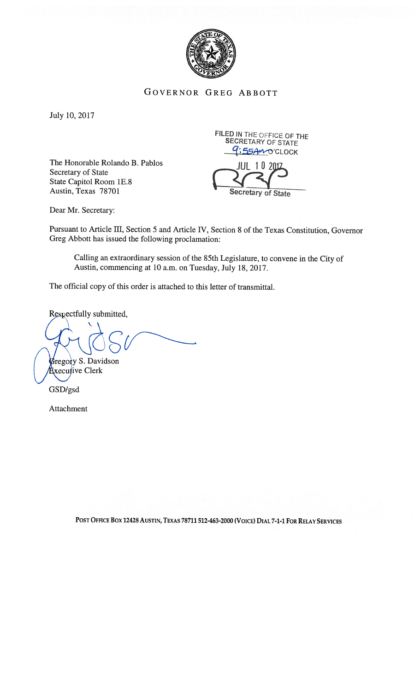

## GOVERNOR GREG ABBOTT

July 10, 2017

The Honorable Rolando B. Pablos Secretary of State State Capitol Room IE.8 Austin, Texas 78701

FILED IN THE OFFICE OF THE SECRETARY OF STATE 9:55AnocLOCK



Dear Mr. Secretary:

Pursuant to Article III, Section <sup>5</sup> and Article IV, Section <sup>8</sup> of the Texas Constitution, Governor Greg Abbott has issued the following proclamation:

Calling an extraordinary session of the 85th Legislature, to convene in the City of Austin, commencing at 10 a.m. on Tuesday, July 18, 2017.

The official copy of this order is attached to this letter of transmittal.

Respectfully submitted,

*Fregory S. Davidson* xecutive Clerk

GSD/gsd

Attachment

POST OFFICE BOX 12428 AUSTIN, TEXAS 78711 512-463-2000 (VOICE) DIAL 7-1-1 FOR RELAY SERVICES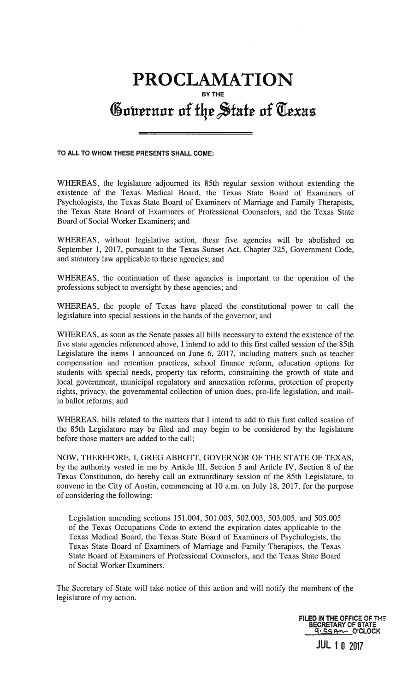## PROCLAMATION BY THE Governor of the State of Texas

TO ALL TO WHOM THESE PRESENTS SHALL COME:

WHEREAS, the legislature adjourned its 85th regular session without extending the existence of the Texas Medical Board, the Texas State Board of Examiners of Psychologists, the Texas State Board of Examiners of Marriage and Family Therapists, the Texas State Board of Examiners of Professional Counselors, and the Texas State Board of Social Worker Examiners; and

WHEREAS, without legislative action, these five agencies will be abolished on September 1, 2017, pursuant to the Texas Sunset Act, Chapter 325, Government Code, and statutory law applicable to these agencies; and

WHEREAS, the continuation of these agencies is important to the operation of the professions subject to oversight by these agencies; and

WHEREAS, the people of Texas have placed the constitutional power to call the legislature into special sessions in the hands of the governor; and

WHEREAS, as soon as the Senate passes all bills necessary to extend the existence of the five state agencies referenced above, I intend to add to this first called session of the 85th Legislature the items I announced on June 6, 2017, including matters such as teacher compensation and retention practices, school finance reform, education options for students with special needs, property tax reform, constraining the growth of state and local government, municipal regulatory and annexation reforms, protection of property rights, privacy, the governmental collection of union dues, pro-life legislation, and mailin ballot reforms; and

WHEREAS, bills related to the matters that I intend to add to this first called session of the 85th Legislature may be filed and may begin to be considered by the legislature before those matters are added to the call;

NOW, THEREFORE, I, GREG ABBOTT, GOVERNOR OF THE STATE OF TEXAS, by the authority vested in me by Article III, Section 5 and Article IV, Section 8 of the Texas Constitution, do hereby call an extraordinary session of the 85th Legislature, to convene in the City of Austin, commencing at 10 a.m. on July 18, 2017, for the purpose of considering the following:

Legislation amending sections 151.004, 501.005, 502.003, 503.005, and 505.005 of the Texas Occupations Code to extend the expiration dates applicable to the Texas Medical Board, the Texas State Board of Examiners of Psychologists, the Texas State Board of Examiners of Marriage and Family Therapists, the Texas State Board of Examiners of Professional Counselors, and the Texas State Board of Social Worker Examiners.

The Secretary of State will take notice of this action and will notify the members of the legislature of my action.

> FILED IN THE OFFICE OF THE SECRETARY OF STATE  $9.55A - 0$ <sup>CLOCK</sup> **JUL 10 2017**